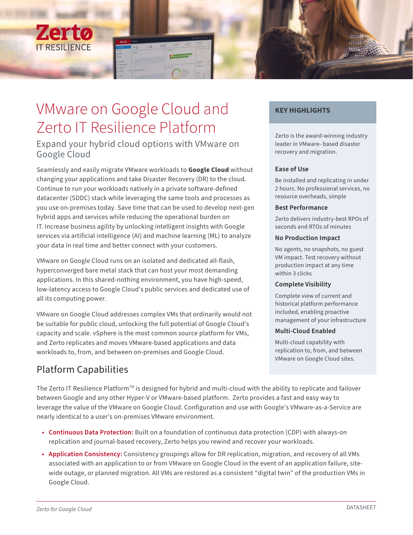

# VMware on Google Cloud and Zerto IT Resilience Platform

# Expand your hybrid cloud options with VMware on Google Cloud

Seamlessly and easily migrate VMware workloads to **Google Cloud** without changing your applications and take Disaster Recovery (DR) to the cloud. Continue to run your workloads natively in a private software-defined datacenter (SDDC) stack while leveraging the same tools and processes as you use on-premises today. Save time that can be used to develop next-gen hybrid apps and services while reducing the operational burden on IT. Increase business agility by unlocking intelligent insights with Google services via artificial intelligence (AI) and machine learning (ML) to analyze your data in real time and better connect with your customers.

VMware on Google Cloud runs on an isolated and dedicated all-flash, hyperconverged bare metal stack that can host your most demanding applications. In this shared-nothing environment, you have high-speed, low-latency access to Google Cloud's public services and dedicated use of all its computing power.

VMware on Google Cloud addresses complex VMs that ordinarily would not be suitable for public cloud, unlocking the full potential of Google Cloud's capacity and scale. vSphere is the most common source platform for VMs, and Zerto replicates and moves VMware-based applications and data workloads to, from, and between on-premises and Google Cloud.

# Platform Capabilities

## **KEY HIGHLIGHTS**

Zerto is the award-winning industry leader in VMware- based disaster recovery and migration.

#### **Ease of Use**

Be installed and replicating in under 2 hours. No professional services, no resource overheads, simple

#### **Best Performance**

Zerto delivers industry-best RPOs of seconds and RTOs of minutes

#### **No Production Impact**

No agents, no snapshots, no guest VM impact. Test recovery without production impact at any time within 3 clicks

#### **Complete Visibility**

Complete view of current and historical platform performance included, enabling proactive management of your infrastructure

#### **Multi-Cloud Enabled**

Multi-cloud capability with replication to, from, and between VMware on Google Cloud sites.

The Zerto IT Resilience Platform<sup>™</sup> is designed for hybrid and multi-cloud with the ability to replicate and failover between Google and any other Hyper-V or VMware-based platform. Zerto provides a fast and easy way to leverage the value of the VMware on Google Cloud. Configuration and use with Google's VMware-as-a-Service are nearly identical to a user's on-premises VMware environment.

- **Continuous Data Protection:** Built on a foundation of continuous data protection (CDP) with always-on replication and journal-based recovery, Zerto helps you rewind and recover your workloads.
- **Application Consistency:** Consistency groupings allow for DR replication, migration, and recovery of all VMs associated with an application to or from VMware on Google Cloud in the event of an application failure, sitewide outage, or planned migration. All VMs are restored as a consistent "digital twin" of the production VMs in Google Cloud.